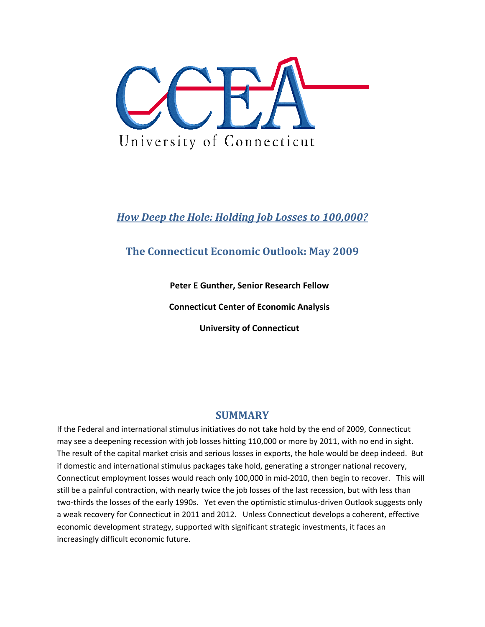

# *How Deep the Hole: Holding Job Losses to 100,000?*

# **The Connecticut Economic Outlook: May 2009**

**Peter E Gunther, Senior Research Fellow**

**Connecticut Center of Economic Analysis**

**University of Connecticut**

## **SUMMARY**

If the Federal and international stimulus initiatives do not take hold by the end of 2009, Connecticut may see a deepening recession with job losses hitting 110,000 or more by 2011, with no end in sight. The result of the capital market crisis and serious losses in exports, the hole would be deep indeed. But if domestic and international stimulus packages take hold, generating a stronger national recovery, Connecticut employment losses would reach only 100,000 in mid‐2010, then begin to recover. This will still be a painful contraction, with nearly twice the job losses of the last recession, but with less than two-thirds the losses of the early 1990s. Yet even the optimistic stimulus-driven Outlook suggests only a weak recovery for Connecticut in 2011 and 2012. Unless Connecticut develops a coherent, effective economic development strategy, supported with significant strategic investments, it faces an increasingly difficult economic future.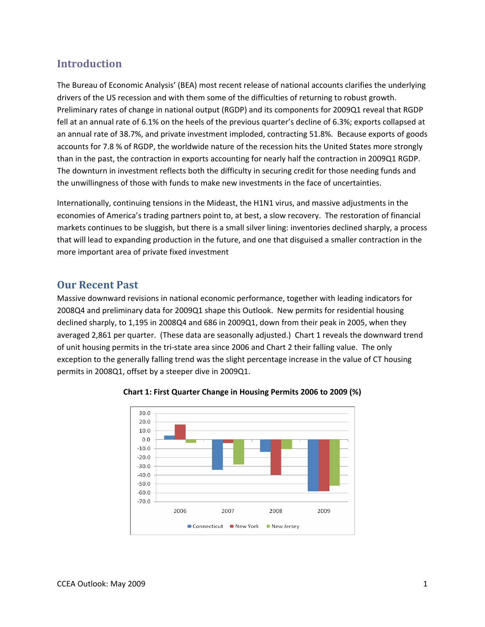# **Introduction**

The Bureau of Economic Analysis' (BEA) most recent release of national accounts clarifies the underlying drivers of the US recession and with them some of the difficulties of returning to robust growth. Preliminary rates of change in national output (RGDP) and its components for 2009Q1 reveal that RGDP fell at an annual rate of 6.1% on the heels of the previous quarter's decline of 6.3%; exports collapsed at an annual rate of 38.7%, and private investment imploded, contracting 51.8%. Because exports of goods accounts for 7.8 % of RGDP, the worldwide nature of the recession hits the United States more strongly than in the past, the contraction in exports accounting for nearly half the contraction in 2009Q1 RGDP. The downturn in investment reflects both the difficulty in securing credit for those needing funds and the unwillingness of those with funds to make new investments in the face of uncertainties.

Internationally, continuing tensions in the Mideast, the H1N1 virus, and massive adjustments in the economies of America's trading partners point to, at best, a slow recovery. The restoration of financial markets continues to be sluggish, but there is a small silver lining: inventories declined sharply, a process that will lead to expanding production in the future, and one that disguised a smaller contraction in the more important area of private fixed investment

### **Our Recent Past**

Massive downward revisions in national economic performance, together with leading indicators for 2008Q4 and preliminary data for 2009Q1 shape this Outlook. New permits for residential housing declined sharply, to 1,195 in 2008Q4 and 686 in 2009Q1, down from their peak in 2005, when they averaged 2,861 per quarter. (These data are seasonally adjusted.) Chart 1 reveals the downward trend of unit housing permits in the tri‐state area since 2006 and Chart 2 their falling value. The only exception to the generally falling trend was the slight percentage increase in the value of CT housing permits in 2008Q1, offset by a steeper dive in 2009Q1.



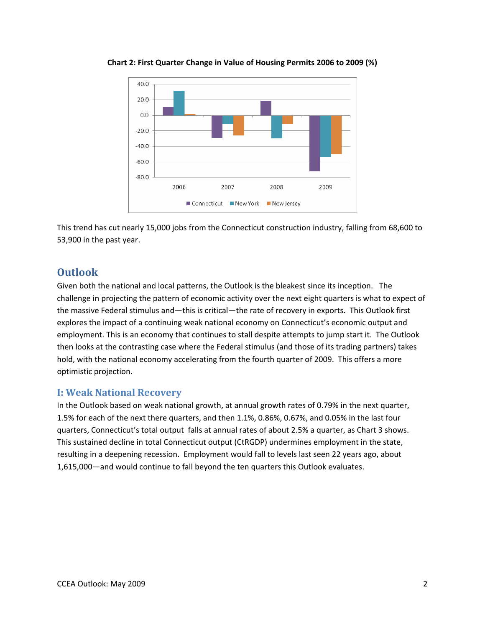

**Chart 2: First Quarter Change in Value of Housing Permits 2006 to 2009 (%)**

This trend has cut nearly 15,000 jobs from the Connecticut construction industry, falling from 68,600 to 53,900 in the past year.

## **Outlook**

Given both the national and local patterns, the Outlook is the bleakest since its inception. The challenge in projecting the pattern of economic activity over the next eight quarters is what to expect of the massive Federal stimulus and—this is critical—the rate of recovery in exports. This Outlook first explores the impact of a continuing weak national economy on Connecticut's economic output and employment. This is an economy that continues to stall despite attempts to jump start it. The Outlook then looks at the contrasting case where the Federal stimulus (and those of its trading partners) takes hold, with the national economy accelerating from the fourth quarter of 2009. This offers a more optimistic projection.

#### **I: Weak National Recovery**

In the Outlook based on weak national growth, at annual growth rates of 0.79% in the next quarter, 1.5% for each of the next there quarters, and then 1.1%, 0.86%, 0.67%, and 0.05% in the last four quarters, Connecticut's total output falls at annual rates of about 2.5% a quarter, as Chart 3 shows. This sustained decline in total Connecticut output (CtRGDP) undermines employment in the state, resulting in a deepening recession. Employment would fall to levels last seen 22 years ago, about 1,615,000—and would continue to fall beyond the ten quarters this Outlook evaluates.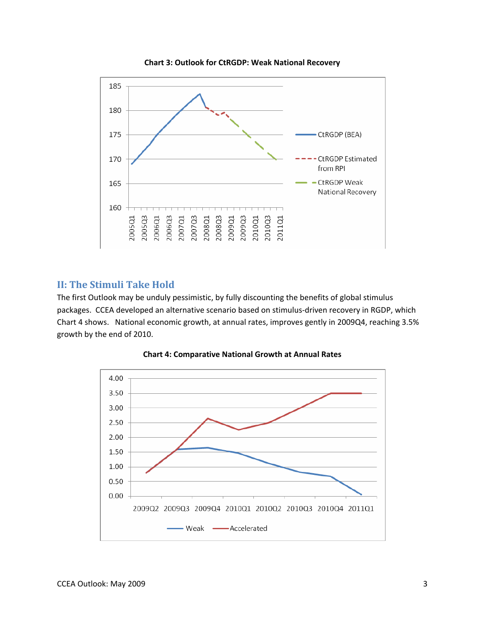

**Chart 3: Outlook for CtRGDP: Weak National Recovery**

#### **II: The Stimuli Take Hold**

The first Outlook may be unduly pessimistic, by fully discounting the benefits of global stimulus packages. CCEA developed an alternative scenario based on stimulus‐driven recovery in RGDP, which Chart 4 shows. National economic growth, at annual rates, improves gently in 2009Q4, reaching 3.5% growth by the end of 2010.



**Chart 4: Comparative National Growth at Annual Rates**